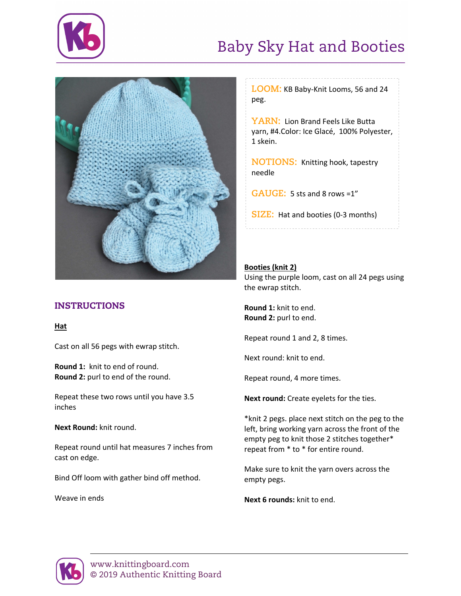

# Baby Sky Hat and Booties



## INSTRUCTIONS

**Hat**

Cast on all 56 pegs with ewrap stitch.

**Round 1:** knit to end of round. **Round 2:** purl to end of the round.

Repeat these two rows until you have 3.5 inches

**Next Round:** knit round.

Repeat round until hat measures 7 inches from cast on edge.

Bind Off loom with gather bind off method.

Weave in ends

**LOOM:** KB Baby-Knit Looms, 56 and 24 peg.

**YARN:** Lion Brand Feels Like Butta yarn, #4.Color: Ice Glacé, 100% Polyester, 1 skein.

**NOTIONS:** Knitting hook, tapestry needle

**GAUGE:** 5 sts and 8 rows =1"

**SIZE:** Hat and booties (0-3 months)

### **Booties (knit 2)**

Using the purple loom, cast on all 24 pegs using the ewrap stitch.

**Round 1:** knit to end. **Round 2:** purl to end.

Repeat round 1 and 2, 8 times.

Next round: knit to end.

Repeat round, 4 more times.

**Next round:** Create eyelets for the ties.

\*knit 2 pegs. place next stitch on the peg to the left, bring working yarn across the front of the empty peg to knit those 2 stitches together\* repeat from \* to \* for entire round.

Make sure to knit the yarn overs across the empty pegs.

**Next 6 rounds:** knit to end.